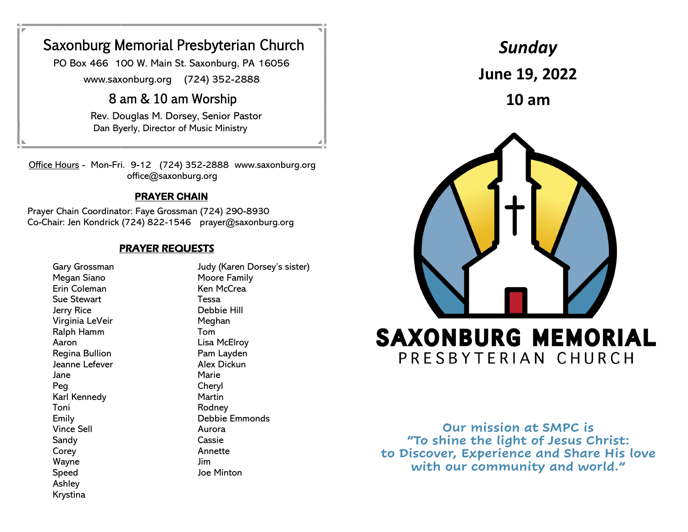# Saxonburg Memorial Presbyterian Church

PO Box 466 100 W. Main St. Saxonburg, PA 16056 www.saxonburg.org (724) 352-2888

## 8 am & 10 am Worship

 Rev. Douglas M. Dorsey, Senior Pastor Dan Byerly, Director of Music Ministry

Office Hours - Mon-Fri. 9-12 (724) 352-2888 www.saxonburg.org office@saxonburg.org

### **PRAYER CHAIN**

Prayer Chain Coordinator: Faye Grossman (724) 290-8930 Co-Chair: Jen Kondrick (724) 822-1546 prayer@saxonburg.org

#### PRAYER REQUESTS

Gary Grossman Megan Siano Erin Coleman Sue Stewart Jerry Rice Virginia LeVeir Ralph Hamm Aaron Regina Bullion Jeanne Lefever Jane Peg Karl Kennedy Toni Emily Vince Sell Sandy Corey Wayne Speed Ashley Krystina

Judy (Karen Dorsey's sister) Moore Family Ken McCrea Tessa Debbie Hill Meghan Tom Lisa McElroy Pam Layden Alex Dickun Marie Cheryl **Martin** Rodney Debbie Emmonds Aurora Cassie Annette Jim Joe Minton



PRESBYTERIAN CHURCH

**Our mission at SMPC is "To shine the light of Jesus Christ: to Discover, Experience and Share His love with our community and world."**